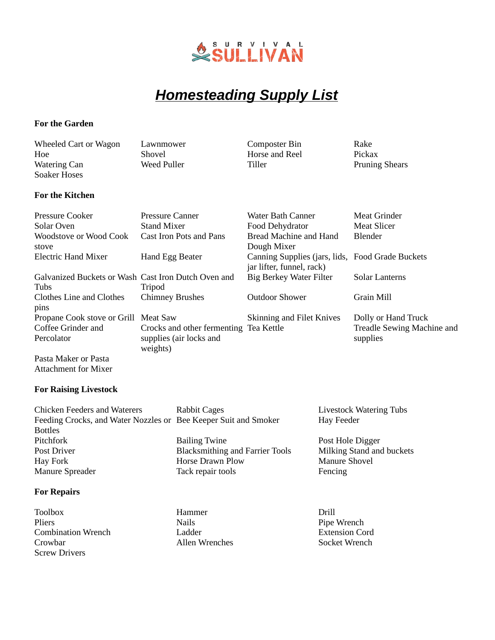

# *Homesteading Supply List*

### **For the Garden**

| Wheeled Cart or Wagon               | Lawnmower   | Composter Bin  | Rake                  |
|-------------------------------------|-------------|----------------|-----------------------|
| Hoe                                 | Shovel      | Horse and Reel | Pickax                |
| <b>Watering Can</b><br>Soaker Hoses | Weed Puller | Tiller         | <b>Pruning Shears</b> |
| <b>For the Kitchen</b>              |             |                |                       |

| <b>Pressure Cooker</b><br>Solar Oven                | Pressure Canner<br><b>Stand Mixer</b>  | Water Bath Canner<br>Food Dehydrator                                          | Meat Grinder<br><b>Meat Slicer</b> |
|-----------------------------------------------------|----------------------------------------|-------------------------------------------------------------------------------|------------------------------------|
| Woodstove or Wood Cook                              | Cast Iron Pots and Pans                | Bread Machine and Hand                                                        | <b>Blender</b>                     |
| stove                                               |                                        | Dough Mixer                                                                   |                                    |
| Electric Hand Mixer                                 | Hand Egg Beater                        | Canning Supplies (jars, lids, Food Grade Buckets<br>jar lifter, funnel, rack) |                                    |
| Galvanized Buckets or Wash Cast Iron Dutch Oven and |                                        | <b>Big Berkey Water Filter</b>                                                | Solar Lanterns                     |
| Tubs                                                | Tripod                                 |                                                                               |                                    |
| Clothes Line and Clothes<br>pins                    | <b>Chimney Brushes</b>                 | Outdoor Shower                                                                | Grain Mill                         |
| Propane Cook stove or Grill Meat Saw                |                                        | Skinning and Filet Knives                                                     | Dolly or Hand Truck                |
| Coffee Grinder and                                  | Crocks and other fermenting Tea Kettle |                                                                               | Treadle Sewing Machine and         |
| Percolator                                          | supplies (air locks and<br>weights)    |                                                                               | supplies                           |
| Pasta Maker or Pasta                                |                                        |                                                                               |                                    |

Pasta Maker or Pasta Attachment for Mixer

#### **For Raising Livestock**

| Rabbit Cages                                                    | <b>Livestock Watering Tubs</b> |
|-----------------------------------------------------------------|--------------------------------|
| Feeding Crocks, and Water Nozzles or Bee Keeper Suit and Smoker | Hay Feeder                     |
|                                                                 |                                |
| <b>Bailing Twine</b>                                            | Post Hole Digger               |
| <b>Blacksmithing and Farrier Tools</b>                          | Milking Stand and buckets      |
| <b>Horse Drawn Plow</b>                                         | <b>Manure Shovel</b>           |
| Tack repair tools                                               | Fencing                        |
|                                                                 |                                |

## **For Repairs**

- Toolbox **Hammer** Drill Pliers **Nails** Pipe Wrench Combination Wrench Ladder Extension Cord Crowbar **Allen Wrenches** Screw Drivers
	-